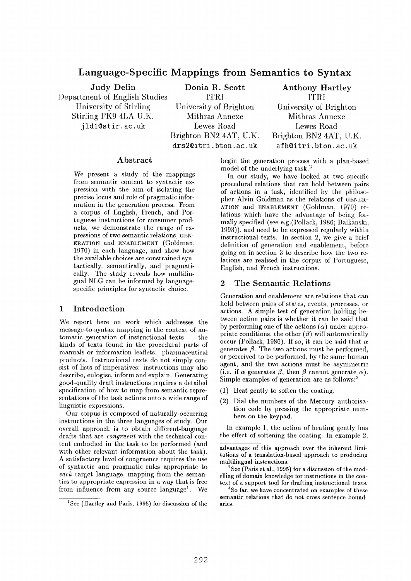# **Language-Specific Mappings from Semantics to Syntax**

Judy Delin Department of English Studies University of Stirling Stirling FK9 4LA U.K. jld1@stir.ac.uk

**Donia R. Scott**  ITRI University of Brighton Mithras Annexe Lewes Road Brighton BN2 4AT, U.K. drs2@itri, bton. ac. uk

Anthony Hartley ITRI University of Brighton Mithras Annexe Lewes Road Brighton BN2 4AT, U.K. afh@itri.bton.ac.uk

# **Abstract**

We. present a study of the mappings from semantic content to syntactic expression with the aim of isolating the precise locus and role of pragmatic information in the generation process. From a corpus of English, French, and Portuguese instructions for consumer products, we demonstrate the range of expressions of two semantic relations, GEN-ERATION and ENABLEMENT (Goldman, 1970) in each language, and show how the available choices are constrained syntactically, semantically, and pragmatically. The study reveals how multilingual NLG can be informed by languagespecific principles for syntactic choice.

# **1 Introduction**

We report here on work which addresses the message-to-syntax mapping in the context of automatic generation of instructional texts  $\overline{\phantom{a}}$  the kinds of texts found in the procedural parts of manuals or information leaflets, pharmaceutical products. Instructional texts do not simply consist of lists of imperatives: instructions may also describe, eulogise, inform and explain. Generating good-quality draft instructions requires a detailed specification of how to map from semantic representations of the task actions onto a wide range of linguistic expressions.

Our corpus is composed of naturally-occurring instructions in the three languages of study. Our overall approach is to obtain different-language drafts that are *congruenl* with the technical content embodied in the task to be performed (and with other relevant information about the task). A satisfactory level of congruence requires the use of syntactic and pragmatic rules appropriate to *each* target language, mapping from the semantics to appropriate expression in a way that is frec from influence from any source language<sup>1</sup>. We

begin the generation process with a plan-based model of the underlying task.<sup>2</sup>

In our study, we have looked at two specific procedural relations that can hold between pairs of actions in a task, identified by the philosopher Alvin Goldman as the relations of GENER-ATION and ENABLEMENT (Goldman, 1970) relations which have the advantage of being formally specified (see e.g.(Pollack, 1986; Balkanski, 1993)), and need to be expressed regularly within instructional texts. In section 2, we give a brief definition of generation and enablement, before going on in section 3 to describe how the two relations are realised in the corpus of Portuguese, English, and French instructions.

# **2 The Semantic Relations**

Generation and enablement are relations that can hold between pairs of states, events, processes, or actions. A simple test of generation holding between action pairs is whether it can be said that by performing one of the actions  $(\alpha)$  under appropriate conditions, the other  $(\beta)$  will automatically occur (Pollack, 1986). If so, it can be said that  $\alpha$ generates  $\beta$ . The two actions must be performed, or perceived to be performed, by the same human agent, and the two actions must be asymmetric (i.e. if  $\alpha$  generates  $\beta$ , then  $\beta$  cannot generate  $\alpha$ ). Simple examples of generation are as follows: $\frac{3}{2}$ 

- (1) Heat gently to soften the coating.
- (2) Dial the numbers of the Mercury authorisation code by pressing the appropriate numbers on the keypad.

In example 1, the action of heating gently has the effect of softening the coating. In example 2,

 $2$ See (Paris et al., 1995) for a discussion of the modelling of domain knowledge for instructions in the context of a support tool for drafting instructional texts.

<sup>3</sup>So far, we have concentrated on examples of these semantic relations that do not cross sentence boundaries.

<sup>&</sup>lt;sup>1</sup>See (Hartley and Paris, 1995) for discussion of the

advantages of this approach over the inherent limitations of a translation-based approach to producing multilingual instructions.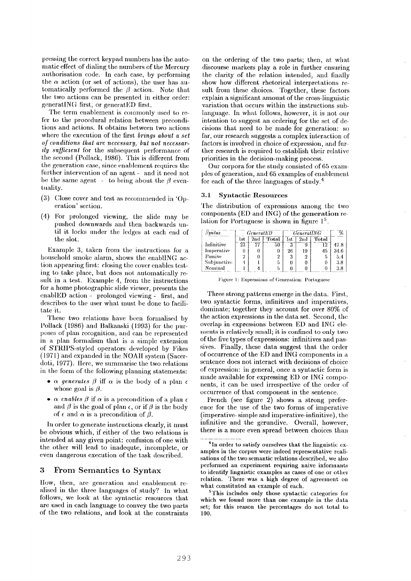pressing the correct keypad numbers has the automatic effect of dialing the numbers of the Mercury authorisation code. In each case, by performing the  $\alpha$  action (or set of actions), the user has automatically performed the  $\beta$  action. Note that the two actions can bc presented in either order: generatiNG first, or generatED first.

The term cnablement is commonly used to refer to the procedural relation between preconditions and actions. It obtains between two actions where the execution of the first *brings about a set of conditions that are necessary, but not necessarily suJJicienl* for the subsequent performance of the second (Pollack, 1986). This is different from the generation case, since enablement requires the further intervention of an agent - and it need not be the same agent - to bring about the  $\beta$  eventuality.

- $(3)$  Close cover and test as recommended in 'Operation' section.
- $(4)$  For prolonged viewing, the slide may be pushed downwards and then backwards until it locks under the ledges at each end of the slot.

Example 3, taken from the instructions for a household smoke alarm, shows the enabliNG action appearing first: closing the cover enables testing to take place, but does not automatically result in a test. Example 4, from the instructions for a home photographic slide viewer, presents the enablED action ~ prolonged viewing - first, and describes to the user what must be done to facilitate it.

These two relations have been formalised by Pollack (1986) and Balkanski (1993) for the purposes of plan recognition, and can be represented in a plan formalism that is a simple extension of STRll)S-styled operators developed by Fikes (1971) and expanded in the NOAII system (Sacerdoti, 1977). Here, we summarise the two relations in the form of the following planning statements:

- $\alpha$  generates  $\beta$  iff  $\alpha$  is the body of a plan  $\epsilon$ whose goal is  $\beta$ .
- $\alpha$  enables  $\beta$  if  $\alpha$  is a precondition of a plan  $\epsilon$ and  $\beta$  is the goal of plan  $\epsilon$ , or if  $\beta$  is the body of  $\epsilon$  and  $\alpha$  is a precondition of  $\beta$ .

In order to generate instructions clearly, it must be obvious which, if either of the two relations is intended at any given point: confusion of one with the other will lead to inadequte, incomplete, or even dangerous execution of the task described.

### **3 From Semantics to Syntax**

Ilow, then, are generation and enablement realised in the three languages of study? In what follows, we look at the syntactic resources that are used in each language to convey the two parts of the two relations, and look at the constraints

on the ordering of the two parts; then, at what discourse markers play a role in further ensuring the clarity of the relation intended, and finally show how different rhetorical interpretations result from these choices. Together, these factors explain a significant amount of the cross-linguistic variation that occurs within the instructions sublanguage, in what follows, however, it is not our intention to suggest an ordering for the set of decisions that need to be made for generation: so far, our research suggests a complex interaction of factors is involved in choice of expression, and tim ther research is required to establish their relative priorities in the decision-making process.

Our corpora for the study consisted of 65 exampies of generation, and 65 examples of enablement for each of the three languages of study. 4

#### **3.1 Syntactic Resources**

The distribution of expressions among the two components  $(ED \text{ and } ING)$  of the generation relation for Portuguese is shown in figure  $1<sup>5</sup>$ .

| $S$ <i>yntax</i> | <i>GeneratED</i> |                 |       | <b>GeneratING</b> |                |       |          |
|------------------|------------------|-----------------|-------|-------------------|----------------|-------|----------|
|                  | l st             | 2nd             | Total | lst               | $2\mathrm{nd}$ | Total |          |
| Infinitive       | 23               | $\overline{27}$ | 50    | 3                 |                | 12    | 47.8     |
| Imperative       |                  |                 |       | 26                | 19             | 45    | 34.6     |
| Passive          |                  |                 |       | 3                 |                |       | 5.4      |
| Subjunctive      |                  |                 |       | 0                 |                |       | 3.8      |
| Nominal          |                  |                 |       | 0                 |                |       | $_{3.8}$ |

Figure 1: Expressions of Generation: Portuguese

Three strong patterns emerge in the data. First, two syntactic forms, infinitives and imperatives, dominate; together they account for over 80% of the action expressions in the data set. Second, the overlap in expressions between ED and ING elements is relatively small; it is confined to only two of the five types of expressions: infinitives and passives. Finally, these data suggest that the order of occurrence of the ED and ING components in a sentence does not interact with decisions of choice of expression: in general, once a syntactic form is made available for expressing ED or ING components, it can be used irrespective of the order of occurrence of that component in the sentence.

French (see figure 2) shows a strong preference for the use of the two forms of imperative (imperative- simple and imperative-infinitive), the infinitive and the gerundive. Overall, however, there is a more even spread between choices than

<sup>&</sup>lt;sup>4</sup>In order to satisfy ourselves that the linguistic examples in the corpus were indeed representative realisations of the two semantic relations described, we also performed an experiment requiring naive informants to identify linguistic cxamples as cases of one or other relation. There was a high degree of agreement on what constituted an example of each.

 $5$ This includes only those syntactic categories for which we found more than one example in the data set; for this reason the percentages do not total to 100.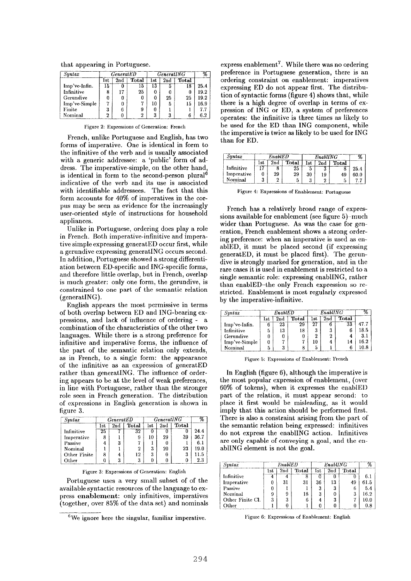that appearing in Portuguese.

| Syntax        |     | <b>GeneratED</b> |              | <i>GeneratING</i> |     |              |      |
|---------------|-----|------------------|--------------|-------------------|-----|--------------|------|
|               | lst | 2nd              | <b>Total</b> | $_{\rm 1st}$      | 2nd | <b>Total</b> |      |
| Imp've-Infin. | 15  |                  | ТÐ           | IJ                |     |              | 25.4 |
| Infinitive    | 8   | 17               | 25           |                   |     |              | 19.2 |
| Gerundive     | 0   |                  |              |                   | 25  | 25           | 19.2 |
| Imp've-Simple | די  |                  |              |                   | 5   | 15           | 16.9 |
| Finite        |     |                  |              |                   |     |              | 77   |
| Nominal       | 2   |                  |              | 3                 |     |              | ና ን  |

Figure 2: Expressions of Generation: French

French, unlike Portuguese and English, has two forms of imperative. One is identical in form to the infinitive of the verb and is usually associated with a generic addressee: a 'public' form of address. The imperative-simple, on the other hand, is identical in form to the second-person plural<sup>6</sup> indicative of the verb and its use is associated with identifiable addressees. The fact that this form accounts for 40% of imperatives in the corpus may be seen as evidence for the increasingly user-oriented style of instructions for household appliances.

Unlike in Portuguese, ordering does play a role in French. Both imperative-infinitive and imperative simple expressing generatED occur first, while a gerundive expressing generatiNG occurs second. In addition, Portuguese showed a strong differentiation between ED-specific and ING-specific forms, and therefore little overlap, but in French, overlap is much greater: only one form, the gerundive, is constrained to one part of the semantic relation (generatiNG).

English appears the most permissive in terms of both overlap between ED and ING-bearing expressions, and lack of influence of ordering - a combination of the characteristics of the other two languages. While there is a strong preference for infinitive and imperative forms, the influence of the part of the semantic relation only extends, as in French, to a single form: the appearance of the infinitive as an expression of generatED rather than generatiNG. The influence of ordering appears to be at the level of weak preferences, in line with Portuguese, rather than the stronger role seen in French generation. The distribution of expressions in English generation is shown in figure 3.

| Suntax       |     | $\emph{General} \emph{ED}$ |       |     | <i>GeneratING</i> |       |         |
|--------------|-----|----------------------------|-------|-----|-------------------|-------|---------|
|              | lst | 2nd                        | Total | 1st | 2nd               | Total |         |
| Infinitive   | 25  |                            | 32    |     |                   |       | 24.4    |
| Imperative   | 8   |                            |       | 10  | 29                | 39    | 36.7    |
| Passive      | 4   |                            |       |     |                   |       | 6.1     |
| Nominal      |     |                            | 2     | 3   | $20\,$            | 23    | 19.0    |
| Other Finite | 8   | 4                          | 12    | 3   |                   | 3     | 11.5    |
| Other        |     |                            |       |     |                   |       | $2.3\,$ |

Figure 3: Expressions of Generation: English

Portuguese uses a very small subset of of the available syntactic resources of the language to express enablement: only infinitives, imperatives (together, over 85% of the data set) and nominals

 $6W$ e ignore here the singular, familiar imperative.

express enablement<sup>7</sup>. While there was no ordering preference in Portuguese generation, there is an ordering constraint on enablement: imperatives expressing ED do not appear first. The distribution of syntactic forms (figure 4) shows that, while there is a high degree of overlap in terms of expression of 1NG or ED, a system of preferences operates: the infinitive is three times as likely to be used for the ED than ING component, while the imperative is twice as likely to be used for ING than for ED.

| Syntax     | EnabLED |     |       | <b>EnablING</b> |     |       |      |
|------------|---------|-----|-------|-----------------|-----|-------|------|
|            | lst     | 2nd | Total | ist             | 2nd | Total |      |
| Infinitive | י       |     | zn    |                 |     |       | 25.4 |
| Imperative |         | 29  | 29    | 30              | 19  | 49    | 60.0 |
| Nominal    | ŋ       | 2   |       |                 |     |       |      |

Figure 4: Expressions of Enablement: Portuguese

French has a relatively broad range of expressions available for enablement (see figure 5)-much wider than Portuguese. As was the case for generation, French enablement shows a strong ordering preference: when an imperative is used as enablED, it must be placed second (if expressing generatED, it must be placed first). The gerundive is strongly marked for generation, and in the rare cases it is used in enablement is restricted to a single semantic role: expressing enabliNG, rather than enablED-the only French expression so restricted. Enablement is most regularly expressed by the imperative-infinitive.

| Syntax        | Enable |     | EnabIING |     |     |              |          |
|---------------|--------|-----|----------|-----|-----|--------------|----------|
|               | lst    | 2nd | Total    | 1st | 2nd | <b>Total</b> |          |
| Imp've-Infin. |        | 23  | 29       | 27  |     | 33           | 47.7     |
| Infinitive    |        | 13  | 18       | 3   | 3   |              | 18.5     |
| Gerundive     |        |     |          |     | 2   | 4            | 3.1      |
| Imp've-Simple |        |     | H        | 10  | 4   |              | 16.2     |
| Nominal       | ь      | a   |          |     |     |              | $10.8\,$ |

Figure 5: Expressions of Enablement: French

In English (figure 6), although the imperative is the most popular expression of enablement, (over 60% of tokens), when it expresses the enablED part of the relation, it must appear second: to place it first would be misleading, as it would imply that this action should be performed first. There is also a constraint arising from the part of the semantic relation being expressed: infinitives do not express the enabliNG action. Infinitives are only capable of conveying a goal, and the enabliNG element is not the goal.

| Suntax           | EnabIED |     |       | EnabHNG |     |       |      |
|------------------|---------|-----|-------|---------|-----|-------|------|
|                  | 1st     | 2nd | Total | 1st     | 2nd | Total |      |
| Infinitive       |         |     |       |         |     |       | 6.1  |
| Imperative       |         | 31  | 31    | 36      | 13  | 49    | 61.5 |
| Passive          |         |     |       | а       | 3   |       | 5.4  |
| Nominal          |         | 9   | 18    |         |     |       | 16.2 |
| Other Finite Cl. |         | 3   |       |         | 3   |       | 10.0 |
| Other            |         |     |       |         |     |       | 0.8  |

Figure 6: Expressions of Enablement: English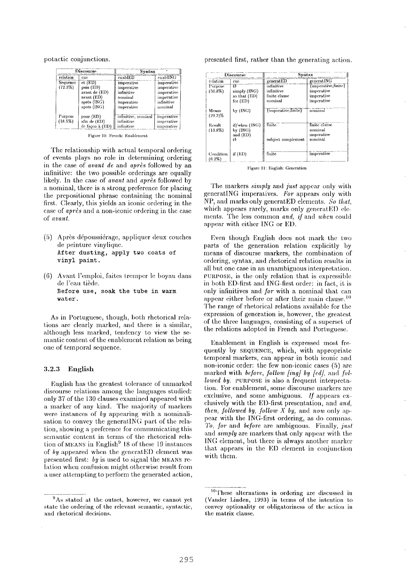potactic conjunctions.

|                     | Discourse                                                                           | Syntax                                                                        |                                                                               |
|---------------------|-------------------------------------------------------------------------------------|-------------------------------------------------------------------------------|-------------------------------------------------------------------------------|
| relation            | cue                                                                                 | enablED                                                                       | enabIING                                                                      |
| Sequence<br>(72.3%) | $et$ (ED)<br>puis (ED)<br>avant de (ED)<br>avant (ED)<br>après (ING)<br>après (ING) | imperative<br>imperative<br>infinitive<br>nominal<br>imperative<br>imperative | imperative<br>imperative<br>imperative<br>imperative<br>infinitive<br>nominal |
| Purpose<br>(18.5%)  | pour (ED)<br>afin de (ED)<br>de façon à (ED)                                        | infinitive, nominal<br>infinitive<br>infinitive                               | <i>imperative</i><br>imperative<br>imperative                                 |

Figure 10: French: Enablement

The relationship with actual temporal ordering of events plays no role in determining ordering in the case of *avant de* and *après* followed by an infinitive: the two possible orderings are equally likely. In the case of *avant* and *apres* followed by a nominal, there is a strong preference for placing the prepositional phrase containing the nominal first. Clearly, this yields an iconic ordering in the case of *après* and a non-iconic ordering in the case of *avant.* 

- (5) Après dépoussiérage, appliquer deux couches de peinture vinylique. **After dusting, apply two coats of**  vinyl paint.
- **(6)** Avant l'emploi, faites tremper le boyau dans de l'eau tiède. **Before use, soak the** tube in warm water.

As in Portuguese, though, both rhetorical relations are clearly marked, and there is a similar, although less marked, tendency to view the semantic content of the enablement relation as being one of temporal sequence.

### **3.2.3 English**

English has the greatest tolerance of unmarked discourse relations among the languages studied: only 37 of the 130 clauses examined appeared with a marker of any kind. The majority of markers were instances of *by* appearing with a nominalisation to convey the generatiNG part of the relation, showing a preference for communicating this semantic content in terms of the rhetorical relation of MEANS in English<sup>9</sup> 18 of these 19 instances of *by* appeared when the generatED element was presented first: *by* is used to signal the MEANS relation when confusion might otherwise result from a user attempting to perform the generated action, presented first, rather than the generating action.

|                        | Discourse                                       | Syntax                                               |                                                                |
|------------------------|-------------------------------------------------|------------------------------------------------------|----------------------------------------------------------------|
| relation               | cue                                             | generatED                                            | generatING                                                     |
| Purpose<br>$(50.8\%)$  | ø<br>simply (ING)<br>so that (ED)<br>for $(ED)$ | infinitive<br>infinitive<br>finite clause<br>nominal | {imperative, finite}<br>imperative<br>imperative<br>imperative |
| Means<br>$(29.2)\%$    | by $(1NG)$                                      | (imperative finite)                                  | nominal                                                        |
| Result<br>$(13.8\%)$   | if/when (ING)<br>by (INC)<br>and (ED)<br>Ø      | finite<br>subject complement                         | finite clause<br>nominal<br>imperative<br>nominal              |
| Condition<br>$(6.2\%)$ | if(ED)                                          | finite                                               | imperative                                                     |

Figure **It:** English: Generation

The markers *simply* and *just* appear only with generatiNG imperatives. *For* appears only with NP, and marks only generatED elements. So *that,*  which appears rarely, marks only generatED elements. The less common *and, if* and *when* could appear with either ING or ED.

Even though English does not mark the two parts of the generation relation explicitly by means of discourse markers, the combination of ordering, syntax, and rhetorical relation results in all but one case in an unambiguous interpretation. PURPOSE, is the only relation that is expressible in both ED-first and ING-first order: in fact, it is only infinitives and *for* with a nominal that can appear either before or after their main clause.<sup>10</sup> The range of rhetorical relations available for the expression of generation is, however, the greatest of the three languages, consisting of a superset of the relations adopted in French and Portuguese.

Enablement in English is expressed most frequently by SEQUENCE, which, with appropriate temporal markers, can appear in both iconic and non-iconic order: the few non-iconic cases (5) are marked with *before, follow [ing] by [ed]*, and *followed by.* PURPOSE is also a frequent interpretation. For enablement, some discourse markers are exclusive, and some ambiguous. *If* appears exclusively with the E1)-first presentation, and *and, then, followed by, follow X by,* and *now* only ap- pear with the ING-first ordering, as do commas. 7'0, *for* and *before* are ambiguous. Finally, *just and simply* are markers that only appear with the ING clement, but there is always another marker that appears in the ED element in conjunction with them.

<sup>9</sup>As stated at the outset, however, we cannot yet state the ordering of the relevant semantic, syntactic, and rhetorical decisions.

<sup>&</sup>lt;sup>10</sup>These alternations in ordering are discussed in (Vander Linden, 1993) in terms of the intention to convey optionality or obligatoriness of the action in the matrix clause.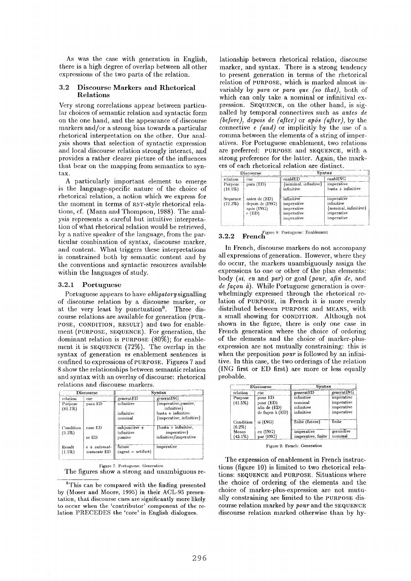As was the case with generation in English, there is a high degree of overlap between all other expressions of the two parts of the relation.

### 3.2 Discourse Markers and Rhetorical Relations

Very strong correlations appear between particular choices of semantic relation and syntactic form on the one hand, and the appearance of discourse markers and/or a strong bias towards a particular rhetorical interpretation on the other. Our analysis shows that selection of syntactic expression and local discourse relation strongly interact, and provides a rather clearer picture of the influences that bear on the mapping from semantics to syntax.

A particularly important element to emerge is the language-specific nature of the choice of rhetorical relation, a notion which we express for the moment in terms of RST-style rhetorical relations, cf. (Mann and Thompson, 1988). The analysis represents a careful but intuitive interpretation of what rhetorical relation would be retrieved, by a native speaker of the language, front the particular combination of syntax, discourse marker, and content. What triggers these interpretations is constrained both by semantic content and by the conventions and syntactic resources available within the languages of study.

### 3.2.1 Portuguese

Portuguese appears to have *obligatory* signalling of discourse relation by a discourse marker, or at the very least by punctuation<sup>8</sup>. Three discourse relations are available for generation (PUR-POSE, CONDITION, RESULT) and two for enablement (PURPOSE, SEQUENCE). For generation, the dominant relation is PURPOSE (80%); for enablement it is SEQUENCE (72%). The overlap in the syntax of generation *vs* enablement sentences is confined to expressions of PURPOSE. Figures 7 and 8 show the relationships between semantic relation and syntax with an overlay of discourse: rhetorical relations and discourse markers.

|                        | <b>Discourse</b>             | Syntax                                    |                                                                                                      |  |
|------------------------|------------------------------|-------------------------------------------|------------------------------------------------------------------------------------------------------|--|
| relation               | cue                          | generatED                                 | generatiNG                                                                                           |  |
| Purpose<br>$(80.1\%)$  | para ED                      | infinitive<br>infinitive<br>nominal       | {imperative, passive,<br>infinitive}<br>$\text{basta} + \text{infinite}$<br>{imperative, infinitive} |  |
| Condition<br>$(9.3\%)$ | caso ED<br>se ED             | $sub$ iunctive +<br>infinitive<br>passive | (basta + infinitive,<br>imperative}<br>infinitive/imperative                                         |  |
| Result<br>(1.5%)       | $e + automat$<br>icamente ED | future<br>$(agent = artifact)$            | imperative                                                                                           |  |

Figure 7: Portuguese: Generation

The figures show a strong and unambiguous re-

 ${}^{8}$ This can be compared with the finding presented by (Moser and Moore, 1995) in their ACL-95 presen-. tation, that discourse cues are significantly more likely to occur when the 'contributor' component of the relation PRECEDES the 'core' in English dialogues.

lationship between rhetorical relation, discourse marker, and syntax. There is a strong tendency to present generation in terms of the rhetorical relation of PURPOSE, which is marked almost invariably by *para* or *para que (so that),* both of which can only take a nominal or infinitival expression. SEQUENCE, on the other hand, is signalled by temporal connectives such as *antes de (before), depois de (after)* or *apôs (after)*, by the connective e *(and)* or implicitly by the use of a comma between the elements of a string of imperatives. For Portuguese enablement, two relations are preferred: PURPOSE and SEQUENCE, with a strong preference for the latter. Again, the markers of each rhetorical relation are distinct.

|                       | Discourse                                                  |                                                                    | Syntax                                                                        |
|-----------------------|------------------------------------------------------------|--------------------------------------------------------------------|-------------------------------------------------------------------------------|
| relation              | cue                                                        | enablED                                                            | enablING                                                                      |
| Purpose<br>$(18.5\%)$ | para $(ED)$                                                | (nominal, infinitive)<br>infinitive                                | imperative<br>$\text{basta} + \text{infinite}$                                |
| Sequence<br>(72.3%)   | antes de (ED)<br>depois de (ING)<br>após (ING)<br>$e$ (ED) | infinitive<br>imperative<br>imperative<br>imperative<br>imperative | imperative<br>infinitive<br>{nominal, infinitive}<br>imperative<br>imperative |

3.2.2 **French** Figure 8: Portuguese: Enablement

In French, discourse markers do not accompany all expressions of generation. However, where they do occur, the markers unambiguously assign the expressions to one or other of the plan elements: body *(si, en* and *par)* or goal *(pour, afin de,* and *de facon à*). While Portuguese generation is overwhelmingly expressed through the rhetorical relation of PURPOSE, in French it is more evenly distributed between PURPOSE and MEANS, with a small showing for CONDITION. Although not shown in the figure, there is only one case in French generation where the choice of ordering of the elements and the choice of marker-plusexpression are not mutually constraining: this is when the preposition *pour* is followed by an infinitive. In this case, the two orderings of the relation (ING first or ED first) are more or less equally probable.

| <b>Discourse</b>       |                                                         | Syntax                                            |                                                      |  |  |
|------------------------|---------------------------------------------------------|---------------------------------------------------|------------------------------------------------------|--|--|
| relation               | cue                                                     | generatED                                         | generatING                                           |  |  |
| Purpose<br>(41.5%)     | pour ED<br>pour (ED)<br>afin de (ED)<br>de façon à (ED) | infinitive<br>nominal<br>infinitive<br>infinitive | imperative<br>imperative<br>imperative<br>imperative |  |  |
| Condition<br>$(0.2\%)$ | si (ING)                                                | finite (future)                                   | finite                                               |  |  |
| Means                  | en (ING)                                                | imperative                                        | gerundive                                            |  |  |
| $(43.1\%)$             | par (ING)                                               | imperative, finite                                | nominal                                              |  |  |

Figure 9: French: Generation

The expression of enablement in French instructions (figure 10) is limited to two rhetorical relations: SEQUENCE and PURPOSE. Situations where the choice of ordering of the elements and the choice of marker-plus-expression are not mutually constraining are limited to the PURPOSE discourse relation marked by *pour* and the SEQUENCE discourse relation marked otherwise than by hy-